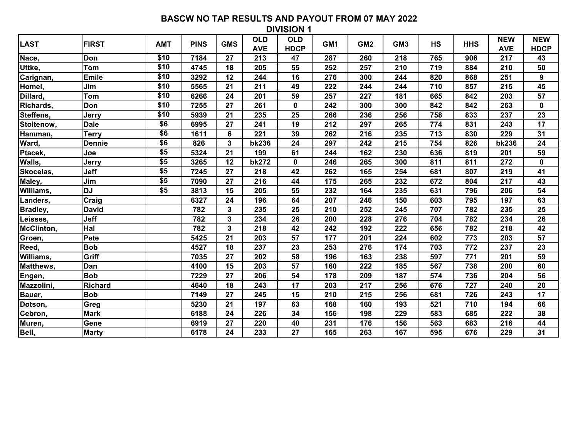| LAST       | <b>FIRST</b>   | <b>AMT</b>  | <b>PINS</b> | <b>GMS</b>              | <b>OLD</b><br><b>AVE</b> | <b>OLD</b><br><b>HDCP</b> | GM <sub>1</sub> | GM <sub>2</sub> | GM <sub>3</sub> | <b>HS</b> | <b>HHS</b> | <b>NEW</b><br><b>AVE</b> | <b>NEW</b><br><b>HDCP</b> |
|------------|----------------|-------------|-------------|-------------------------|--------------------------|---------------------------|-----------------|-----------------|-----------------|-----------|------------|--------------------------|---------------------------|
| Nace,      | Don            | \$10        | 7184        | 27                      | 213                      | 47                        | 287             | 260             | 218             | 765       | 906        | 217                      | 43                        |
| Uttke,     | <b>Tom</b>     | \$10        | 4745        | 18                      | 205                      | 55                        | 252             | 257             | 210             | 719       | 884        | 210                      | 50                        |
| Carignan,  | <b>Emile</b>   | \$10        | 3292        | 12                      | 244                      | 16                        | 276             | 300             | 244             | 820       | 868        | 251                      | 9                         |
| Homel,     | Jim            | \$10        | 5565        | 21                      | 211                      | 49                        | 222             | 244             | 244             | 710       | 857        | 215                      | 45                        |
| Dillard,   | <b>Tom</b>     | \$10        | 6266        | 24                      | 201                      | 59                        | 257             | 227             | 181             | 665       | 842        | 203                      | 57                        |
| Richards,  | Don            | \$10        | 7255        | 27                      | 261                      | $\pmb{0}$                 | 242             | 300             | 300             | 842       | 842        | 263                      | $\pmb{0}$                 |
| Steffens,  | Jerry          | \$10        | 5939        | 21                      | 235                      | 25                        | 266             | 236             | 256             | 758       | 833        | 237                      | 23                        |
| Stoltenow, | <b>Dale</b>    | \$6         | 6995        | 27                      | 241                      | 19                        | 212             | 297             | 265             | 774       | 831        | 243                      | $\overline{17}$           |
| Hamman,    | <b>Terry</b>   | \$6         | 1611        | 6                       | 221                      | 39                        | 262             | 216             | 235             | 713       | 830        | 229                      | 31                        |
| Ward,      | <b>Dennie</b>  | \$6         | 826         | 3                       | <b>bk236</b>             | 24                        | 297             | 242             | 215             | 754       | 826        | <b>bk236</b>             | 24                        |
| Ptacek,    | Joe            | $\sqrt{$5}$ | 5324        | 21                      | 199                      | 61                        | 244             | 162             | 230             | 636       | 819        | 201                      | 59                        |
| Walls,     | Jerry          | \$5         | 3265        | 12                      | <b>bk272</b>             | $\mathbf 0$               | 246             | 265             | 300             | 811       | 811        | 272                      | $\mathbf 0$               |
| Skocelas,  | Jeff           | \$5         | 7245        | 27                      | 218                      | 42                        | 262             | 165             | 254             | 681       | 807        | 219                      | 41                        |
| Maley,     | Jim            | \$5         | 7090        | 27                      | 216                      | 44                        | 175             | 265             | 232             | 672       | 804        | 217                      | 43                        |
| Williams,  | <b>DJ</b>      | \$5         | 3813        | 15                      | 205                      | 55                        | 232             | 164             | 235             | 631       | 796        | 206                      | 54                        |
| Landers,   | Craig          |             | 6327        | 24                      | 196                      | 64                        | 207             | 246             | 150             | 603       | 795        | 197                      | 63                        |
| Bradley,   | <b>David</b>   |             | 782         | 3                       | 235                      | 25                        | 210             | 252             | 245             | 707       | 782        | 235                      | 25                        |
| Leisses,   | Jeff           |             | 782         | $\overline{\mathbf{3}}$ | 234                      | 26                        | 200             | 228             | 276             | 704       | 782        | 234                      | 26                        |
| McClinton, | Hal            |             | 782         | 3                       | 218                      | 42                        | 242             | 192             | 222             | 656       | 782        | 218                      | 42                        |
| Groen,     | Pete           |             | 5425        | 21                      | 203                      | 57                        | 177             | 201             | 224             | 602       | 773        | 203                      | 57                        |
| Reed,      | <b>Bob</b>     |             | 4527        | 18                      | 237                      | 23                        | 253             | 276             | 174             | 703       | 772        | 237                      | 23                        |
| Williams,  | Griff          |             | 7035        | 27                      | 202                      | 58                        | 196             | 163             | 238             | 597       | 771        | 201                      | 59                        |
| Matthews,  | Dan            |             | 4100        | 15                      | 203                      | 57                        | 160             | 222             | 185             | 567       | 738        | 200                      | 60                        |
| Engen,     | <b>Bob</b>     |             | 7229        | 27                      | 206                      | 54                        | 178             | 209             | 187             | 574       | 736        | 204                      | 56                        |
| Mazzolini, | <b>Richard</b> |             | 4640        | 18                      | 243                      | 17                        | 203             | 217             | 256             | 676       | 727        | 240                      | 20                        |
| Bauer,     | <b>Bob</b>     |             | 7149        | 27                      | 245                      | 15                        | 210             | 215             | 256             | 681       | 726        | 243                      | 17                        |
| Dotson,    | Greg           |             | 5230        | 21                      | 197                      | 63                        | 168             | 160             | 193             | 521       | 710        | 194                      | 66                        |
| Cebron,    | <b>Mark</b>    |             | 6188        | 24                      | 226                      | 34                        | 156             | 198             | 229             | 583       | 685        | 222                      | 38                        |
| Muren,     | Gene           |             | 6919        | 27                      | 220                      | 40                        | 231             | 176             | 156             | 563       | 683        | 216                      | 44                        |
| Bell,      | <b>Marty</b>   |             | 6178        | 24                      | 233                      | 27                        | 165             | 263             | 167             | 595       | 676        | 229                      | 31                        |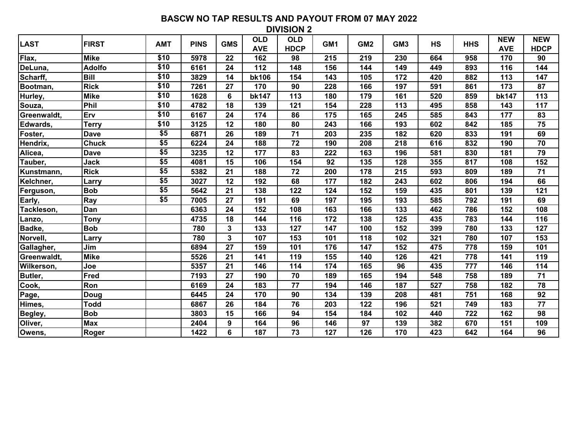| LAST        | <b>FIRST</b>  | <b>AMT</b>       | <b>PINS</b> | <b>GMS</b>   | <b>OLD</b><br><b>AVE</b> | <b>OLD</b><br><b>HDCP</b> | GM <sub>1</sub> | GM <sub>2</sub> | GM <sub>3</sub> | <b>HS</b> | <b>HHS</b> | <b>NEW</b><br><b>AVE</b> | <b>NEW</b><br><b>HDCP</b> |
|-------------|---------------|------------------|-------------|--------------|--------------------------|---------------------------|-----------------|-----------------|-----------------|-----------|------------|--------------------------|---------------------------|
| Flax,       | <b>Mike</b>   | \$10             | 5978        | 22           | 162                      | 98                        | 215             | 219             | 230             | 664       | 958        | 170                      | 90                        |
| DeLuna,     | <b>Adolfo</b> | $\overline{$10}$ | 6161        | 24           | 112                      | 148                       | 156             | 144             | 149             | 449       | 893        | 116                      | 144                       |
| Scharff,    | <b>Bill</b>   | \$10             | 3829        | 14           | <b>bk106</b>             | 154                       | 143             | 105             | 172             | 420       | 882        | 113                      | 147                       |
| Bootman,    | <b>Rick</b>   | \$10             | 7261        | 27           | 170                      | 90                        | 228             | 166             | 197             | 591       | 861        | 173                      | 87                        |
| Hurley,     | <b>Mike</b>   | \$10             | 1628        | 6            | <b>bk147</b>             | 113                       | 180             | 179             | 161             | 520       | 859        | <b>bk147</b>             | 113                       |
| Souza,      | Phil          | \$10             | 4782        | 18           | 139                      | 121                       | 154             | 228             | 113             | 495       | 858        | 143                      | 117                       |
| Greenwaldt, | Erv           | \$10             | 6167        | 24           | 174                      | 86                        | 175             | 165             | 245             | 585       | 843        | 177                      | 83                        |
| Edwards,    | <b>Terry</b>  | \$10             | 3125        | 12           | 180                      | 80                        | 243             | 166             | 193             | 602       | 842        | 185                      | 75                        |
| Foster,     | <b>Dave</b>   | \$5              | 6871        | 26           | 189                      | 71                        | 203             | 235             | 182             | 620       | 833        | 191                      | 69                        |
| Hendrix,    | <b>Chuck</b>  | \$5              | 6224        | 24           | 188                      | 72                        | 190             | 208             | 218             | 616       | 832        | 190                      | 70                        |
| Alicea,     | <b>Dave</b>   | \$5              | 3235        | 12           | 177                      | 83                        | 222             | 163             | 196             | 581       | 830        | 181                      | 79                        |
| Tauber,     | Jack          | \$5              | 4081        | 15           | 106                      | 154                       | 92              | 135             | 128             | 355       | 817        | 108                      | 152                       |
| Kunstmann,  | <b>Rick</b>   | \$5              | 5382        | 21           | 188                      | 72                        | 200             | 178             | 215             | 593       | 809        | 189                      | 71                        |
| Kelchner,   | Larry         | \$5              | 3027        | 12           | 192                      | 68                        | 177             | 182             | 243             | 602       | 806        | 194                      | 66                        |
| Ferguson,   | <b>Bob</b>    | \$5              | 5642        | 21           | 138                      | 122                       | 124             | 152             | 159             | 435       | 801        | 139                      | 121                       |
| Early,      | Ray           | \$5              | 7005        | 27           | 191                      | 69                        | 197             | 195             | 193             | 585       | 792        | 191                      | 69                        |
| Tackleson,  | Dan           |                  | 6363        | 24           | 152                      | 108                       | 163             | 166             | 133             | 462       | 786        | 152                      | 108                       |
| Lanzo,      | <b>Tony</b>   |                  | 4735        | 18           | 144                      | 116                       | 172             | 138             | 125             | 435       | 783        | 144                      | 116                       |
| Badke,      | <b>Bob</b>    |                  | 780         | $\mathbf{3}$ | 133                      | 127                       | 147             | 100             | 152             | 399       | 780        | 133                      | 127                       |
| Norvell,    | Larrv         |                  | 780         | $\mathbf{3}$ | 107                      | 153                       | 101             | 118             | 102             | 321       | 780        | 107                      | 153                       |
| Gallagher,  | Jim           |                  | 6894        | 27           | 159                      | 101                       | 176             | 147             | 152             | 475       | 778        | 159                      | 101                       |
| Greenwaldt, | <b>Mike</b>   |                  | 5526        | 21           | 141                      | 119                       | 155             | 140             | 126             | 421       | 778        | 141                      | 119                       |
| Wilkerson,  | Joe           |                  | 5357        | 21           | 146                      | 114                       | 174             | 165             | 96              | 435       | 777        | 146                      | 114                       |
| Butler,     | Fred          |                  | 7193        | 27           | 190                      | 70                        | 189             | 165             | 194             | 548       | 758        | 189                      | 71                        |
| Cook,       | Ron           |                  | 6169        | 24           | 183                      | 77                        | 194             | 146             | 187             | 527       | 758        | 182                      | 78                        |
| Page,       | <b>Doug</b>   |                  | 6445        | 24           | 170                      | 90                        | 134             | 139             | 208             | 481       | 751        | 168                      | 92                        |
| Himes,      | <b>Todd</b>   |                  | 6867        | 26           | 184                      | 76                        | 203             | 122             | 196             | 521       | 749        | 183                      | 77                        |
| Begley,     | <b>Bob</b>    |                  | 3803        | 15           | 166                      | 94                        | 154             | 184             | 102             | 440       | 722        | 162                      | 98                        |
| Oliver,     | <b>Max</b>    |                  | 2404        | 9            | 164                      | 96                        | 146             | 97              | 139             | 382       | 670        | 151                      | 109                       |
| Owens,      | Roger         |                  | 1422        | 6            | 187                      | 73                        | 127             | 126             | 170             | 423       | 642        | 164                      | 96                        |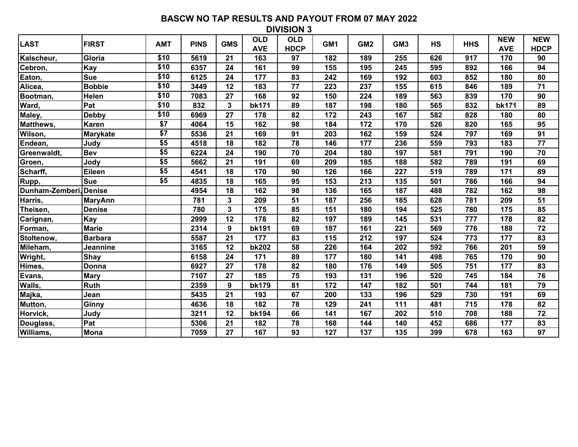| <b>LAST</b>            | <b>FIRST</b>    | <b>AMT</b>  | <b>PINS</b> | <b>GMS</b>   | <b>OLD</b><br><b>AVE</b> | <b>OLD</b><br><b>HDCP</b> | GM <sub>1</sub> | GM <sub>2</sub> | GM <sub>3</sub> | <b>HS</b> | <b>HHS</b> | <b>NEW</b><br><b>AVE</b> | <b>NEW</b><br><b>HDCP</b> |
|------------------------|-----------------|-------------|-------------|--------------|--------------------------|---------------------------|-----------------|-----------------|-----------------|-----------|------------|--------------------------|---------------------------|
| Kalscheur,             | Gloria          | \$10        | 5619        | 21           | 163                      | 97                        | 182             | 189             | 255             | 626       | 917        | 170                      | 90                        |
| Cebron,                | Kay             | \$10        | 6357        | 24           | 161                      | 99                        | 155             | 195             | 245             | 595       | 892        | 166                      | 94                        |
| Eaton,                 | <b>Sue</b>      | \$10        | 6125        | 24           | 177                      | 83                        | 242             | 169             | 192             | 603       | 852        | 180                      | 80                        |
| Alicea,                | <b>Bobbie</b>   | \$10        | 3449        | 12           | 183                      | 77                        | 223             | 237             | 155             | 615       | 846        | 189                      | 71                        |
| Bootman,               | <b>Helen</b>    | \$10        | 7083        | 27           | 168                      | 92                        | 150             | 224             | 189             | 563       | 839        | 170                      | 90                        |
| Ward,                  | Pat             | \$10        | 832         | $\mathbf{3}$ | <b>bk171</b>             | 89                        | 187             | 198             | 180             | 565       | 832        | <b>bk171</b>             | 89                        |
| Maley,                 | <b>Debby</b>    | \$10        | 6969        | 27           | 178                      | 82                        | 172             | 243             | 167             | 582       | 828        | 180                      | 80                        |
| Matthews,              | Karen           | \$7         | 4064        | 15           | 162                      | 98                        | 184             | 172             | 170             | 526       | 820        | 165                      | 95                        |
| Wilson,                | <b>Marykate</b> | $\sqrt{$7}$ | 5536        | 21           | 169                      | 91                        | 203             | 162             | 159             | 524       | 797        | 169                      | 91                        |
| Endean,                | Judy            | \$5         | 4518        | 18           | 182                      | 78                        | 146             | 177             | 236             | 559       | 793        | 183                      | 77                        |
| Greenwaldt,            | <b>Bev</b>      | \$5         | 6224        | 24           | 190                      | 70                        | 204             | 180             | 197             | 581       | 791        | 190                      | 70                        |
| Groen,                 | Jody            | \$5         | 5662        | 21           | 191                      | 69                        | 209             | 185             | 188             | 582       | 789        | 191                      | 69                        |
| Scharff,               | Eileen          | \$5         | 4541        | 18           | 170                      | 90                        | 126             | 166             | 227             | 519       | 789        | 171                      | 89                        |
| Rupp,                  | <b>Sue</b>      | \$5         | 4835        | 18           | 165                      | 95                        | 153             | 213             | 135             | 501       | 786        | 166                      | 94                        |
| Dunham-Zemberi, Denise |                 |             | 4954        | 18           | 162                      | 98                        | 136             | 165             | 187             | 488       | 782        | 162                      | 98                        |
| Harris,                | <b>MaryAnn</b>  |             | 781         | $\mathbf{3}$ | 209                      | 51                        | 187             | 256             | 185             | 628       | 781        | 209                      | 51                        |
| Theisen,               | <b>Denise</b>   |             | 780         | $\mathbf{3}$ | 175                      | 85                        | 151             | 180             | 194             | 525       | 780        | 175                      | 85                        |
| Carignan,              | Kay             |             | 2999        | 12           | 178                      | 82                        | 197             | 189             | 145             | 531       | 777        | 178                      | 82                        |
| Forman,                | <b>Marie</b>    |             | 2314        | 9            | <b>bk191</b>             | 69                        | 187             | 161             | 221             | 569       | 776        | 188                      | 72                        |
| Stoltenow,             | <b>Barbara</b>  |             | 5587        | 21           | 177                      | 83                        | 115             | 212             | 197             | 524       | 773        | 177                      | 83                        |
| Mileham,               | Jeannine        |             | 3165        | 12           | <b>bk202</b>             | 58                        | 226             | 164             | 202             | 592       | 766        | 201                      | 59                        |
| Wright,                | Shay            |             | 6158        | 24           | 171                      | 89                        | 177             | 180             | 141             | 498       | 765        | 170                      | 90                        |
| Himes,                 | Donna           |             | 6927        | 27           | 178                      | 82                        | 180             | 176             | 149             | 505       | 751        | 177                      | 83                        |
| Evans,                 | <b>Mary</b>     |             | 7107        | 27           | 185                      | 75                        | 193             | 131             | 196             | 520       | 745        | 184                      | 76                        |
| Walls,                 | <b>Ruth</b>     |             | 2359        | 9            | <b>bk179</b>             | 81                        | 172             | 147             | 182             | 501       | 744        | 181                      | 79                        |
| Majka,                 | Jean            |             | 5435        | 21           | 193                      | 67                        | 200             | 133             | 196             | 529       | 730        | 191                      | 69                        |
| Mutton,                | Ginny           |             | 4636        | 18           | 182                      | 78                        | 129             | 241             | 111             | 481       | 715        | 178                      | 82                        |
| Horvick,               | Judy            |             | 3211        | 12           | <b>bk194</b>             | 66                        | 141             | 167             | 202             | 510       | 708        | 188                      | 72                        |
| Douglass,              | Pat             |             | 5306        | 21           | 182                      | 78                        | 168             | 144             | 140             | 452       | 686        | 177                      | 83                        |
| Williams,              | Mona            |             | 7059        | 27           | 167                      | 93                        | 127             | 137             | 135             | 399       | 678        | 163                      | 97                        |
|                        |                 |             |             |              |                          |                           |                 |                 |                 |           |            |                          |                           |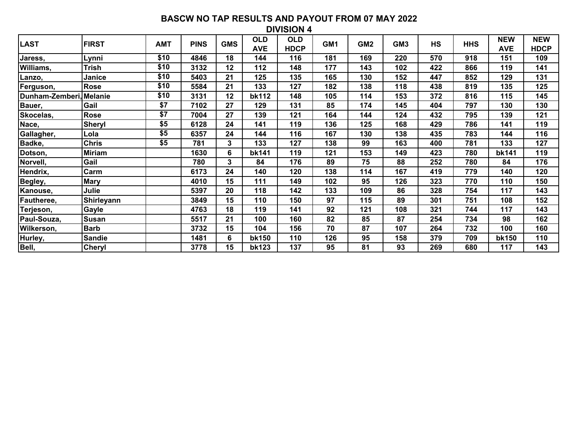| <b>LAST</b>             | <b>FIRST</b>  | <b>AMT</b>      | <b>PINS</b> | <b>GMS</b> | <b>OLD</b><br><b>AVE</b> | <b>OLD</b><br><b>HDCP</b> | GM1 | GM <sub>2</sub> | GM <sub>3</sub> | <b>HS</b> | <b>HHS</b> | <b>NEW</b><br><b>AVE</b> | <b>NEW</b><br><b>HDCP</b> |
|-------------------------|---------------|-----------------|-------------|------------|--------------------------|---------------------------|-----|-----------------|-----------------|-----------|------------|--------------------------|---------------------------|
| Jaress,                 | Lynni         | \$10            | 4846        | 18         | 144                      | 116                       | 181 | 169             | 220             | 570       | 918        | 151                      | 109                       |
| Williams,               | <b>Trish</b>  | \$10            | 3132        | 12         | 112                      | 148                       | 177 | 143             | 102             | 422       | 866        | 119                      | 141                       |
| Lanzo,                  | Janice        | \$10            | 5403        | 21         | 125                      | 135                       | 165 | 130             | 152             | 447       | 852        | 129                      | 131                       |
| Ferguson,               | <b>Rose</b>   | \$10            | 5584        | 21         | 133                      | 127                       | 182 | 138             | 118             | 438       | 819        | 135                      | 125                       |
| Dunham-Zemberi, Melanie |               | \$10            | 3131        | 12         | bk112                    | 148                       | 105 | 114             | 153             | 372       | 816        | 115                      | 145                       |
| Bauer,                  | Gail          | $\overline{$7}$ | 7102        | 27         | 129                      | 131                       | 85  | 174             | 145             | 404       | 797        | 130                      | 130                       |
| Skocelas,               | <b>Rose</b>   | \$7             | 7004        | 27         | 139                      | 121                       | 164 | 144             | 124             | 432       | 795        | 139                      | 121                       |
| Nace,                   | Sheryl        | \$5             | 6128        | 24         | 141                      | 119                       | 136 | 125             | 168             | 429       | 786        | 141                      | 119                       |
| Gallagher,              | Lola          | \$5             | 6357        | 24         | 144                      | 116                       | 167 | 130             | 138             | 435       | 783        | 144                      | 116                       |
| Badke,                  | <b>Chris</b>  | \$5             | 781         | 3          | 133                      | 127                       | 138 | 99              | 163             | 400       | 781        | 133                      | 127                       |
| Dotson,                 | <b>Miriam</b> |                 | 1630        | 6          | bk141                    | 119                       | 121 | 153             | 149             | 423       | 780        | bk141                    | 119                       |
| Norvell,                | Gail          |                 | 780         | 3          | 84                       | 176                       | 89  | 75              | 88              | 252       | 780        | 84                       | 176                       |
| Hendrix,                | Carm          |                 | 6173        | 24         | 140                      | 120                       | 138 | 114             | 167             | 419       | 779        | 140                      | 120                       |
| Begley,                 | <b>Mary</b>   |                 | 4010        | 15         | 111                      | 149                       | 102 | 95              | 126             | 323       | 770        | 110                      | 150                       |
| Kanouse,                | Julie         |                 | 5397        | 20         | 118                      | 142                       | 133 | 109             | 86              | 328       | 754        | 117                      | 143                       |
| Fautheree,              | Shirleyann    |                 | 3849        | 15         | 110                      | 150                       | 97  | 115             | 89              | 301       | 751        | 108                      | 152                       |
| Terjeson,               | <b>Gayle</b>  |                 | 4763        | 18         | 119                      | 141                       | 92  | 121             | 108             | 321       | 744        | 117                      | 143                       |
| Paul-Souza,             | Susan         |                 | 5517        | 21         | 100                      | 160                       | 82  | 85              | 87              | 254       | 734        | 98                       | 162                       |
| Wilkerson,              | <b>Barb</b>   |                 | 3732        | 15         | 104                      | 156                       | 70  | 87              | 107             | 264       | 732        | 100                      | 160                       |
| Hurley,                 | <b>Sandie</b> |                 | 1481        | 6          | <b>bk150</b>             | 110                       | 126 | 95              | 158             | 379       | 709        | bk150                    | 110                       |
| Bell,                   | <b>Cheryl</b> |                 | 3778        | 15         | bk123                    | 137                       | 95  | 81              | 93              | 269       | 680        | 117                      | 143                       |